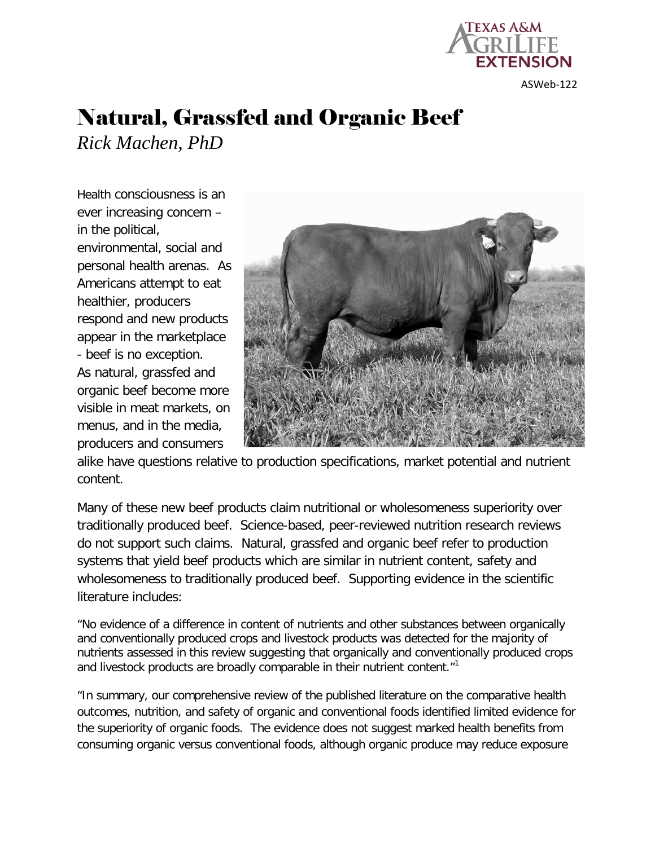

ASWeb-122

# Natural, Grassfed and Organic Beef *Rick Machen, PhD*

Health consciousness is an ever increasing concern – in the political, environmental, social and personal health arenas. As Americans attempt to eat healthier, producers respond and new products appear in the marketplace - beef is no exception. As natural, grassfed and organic beef become more visible in meat markets, on menus, and in the media, producers and consumers



alike have questions relative to production specifications, market potential and nutrient content.

Many of these new beef products claim nutritional or wholesomeness superiority over traditionally produced beef. Science-based, peer-reviewed nutrition research reviews do not support such claims. Natural, grassfed and organic beef refer to production systems that yield beef products which are similar in nutrient content, safety and wholesomeness to traditionally produced beef. Supporting evidence in the scientific literature includes:

"No evidence of a difference in content of nutrients and other substances between organically and conventionally produced crops and livestock products was detected for the majority of nutrients assessed in this review suggesting that organically and conventionally produced crops and livestock products are broadly comparable in their nutrient content."<sup>1</sup>

"In summary, our comprehensive review of the published literature on the comparative health outcomes, nutrition, and safety of organic and conventional foods identified limited evidence for the superiority of organic foods. The evidence does not suggest marked health benefits from consuming organic versus conventional foods, although organic produce may reduce exposure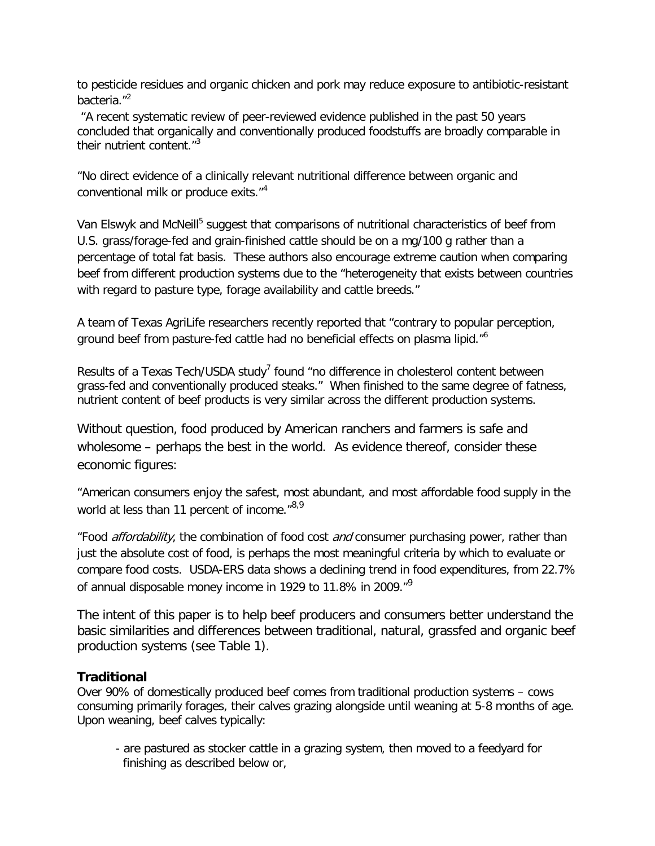to pesticide residues and organic chicken and pork may reduce exposure to antibiotic-resistant bacteria."<sup>2</sup>

"A recent systematic review of peer-reviewed evidence published in the past 50 years concluded that organically and conventionally produced foodstuffs are broadly comparable in their nutrient content."<sup>3</sup>

"No direct evidence of a clinically relevant nutritional difference between organic and conventional milk or produce exits."<sup>4</sup>

Van Elswyk and McNeill<sup>5</sup> suggest that comparisons of nutritional characteristics of beef from U.S. grass/forage-fed and grain-finished cattle should be on a mg/100 g rather than a percentage of total fat basis. These authors also encourage extreme caution when comparing beef from different production systems due to the "heterogeneity that exists between countries with regard to pasture type, forage availability and cattle breeds."

A team of Texas AgriLife researchers recently reported that "contrary to popular perception, ground beef from pasture-fed cattle had no beneficial effects on plasma lipid."<sup>6</sup>

Results of a Texas Tech/USDA study<sup>7</sup> found "no difference in cholesterol content between grass-fed and conventionally produced steaks." When finished to the same degree of fatness, nutrient content of beef products is very similar across the different production systems.

Without question, food produced by American ranchers and farmers is safe and wholesome – perhaps the best in the world. As evidence thereof, consider these economic figures:

"American consumers enjoy the safest, most abundant, and most affordable food supply in the world at less than 11 percent of income."<sup>8,9</sup>

"Food *affordability*, the combination of food cost *and* consumer purchasing power, rather than just the absolute cost of food, is perhaps the most meaningful criteria by which to evaluate or compare food costs. USDA-ERS data shows a declining trend in food expenditures, from 22.7% of annual disposable money income in 1929 to 11.8% in 2009.<sup>"9</sup>

The intent of this paper is to help beef producers and consumers better understand the basic similarities and differences between traditional, natural, grassfed and organic beef production systems (see Table 1).

## **Traditional**

Over 90% of domestically produced beef comes from traditional production systems – cows consuming primarily forages, their calves grazing alongside until weaning at 5-8 months of age. Upon weaning, beef calves typically:

- are pastured as stocker cattle in a grazing system, then moved to a feedyard for finishing as described below or,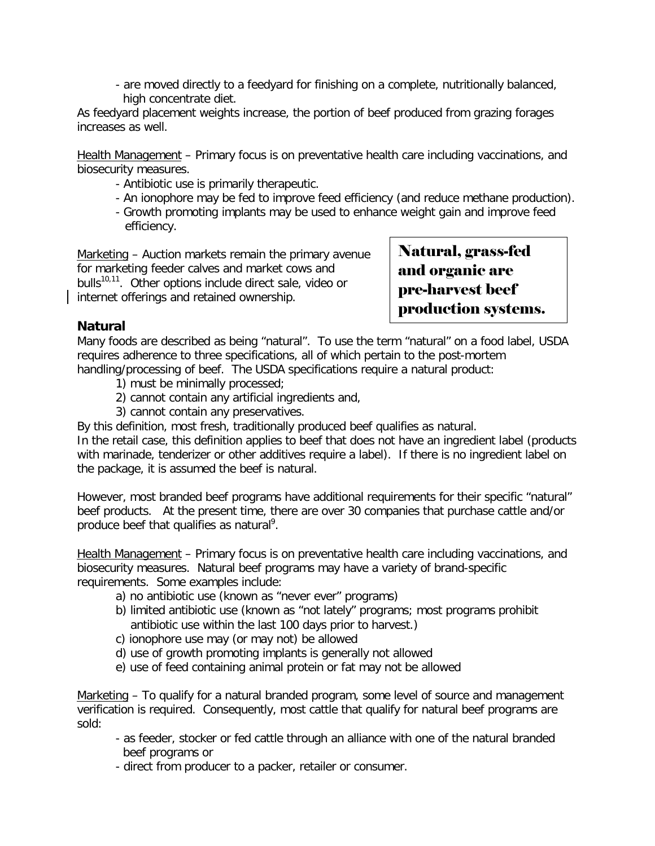- are moved directly to a feedyard for finishing on a complete, nutritionally balanced, high concentrate diet.

As feedyard placement weights increase, the portion of beef produced from grazing forages increases as well.

Health Management – Primary focus is on preventative health care including vaccinations, and biosecurity measures.

- Antibiotic use is primarily therapeutic.
- An ionophore may be fed to improve feed efficiency (and reduce methane production).
- Growth promoting implants may be used to enhance weight gain and improve feed efficiency.

Marketing – Auction markets remain the primary avenue for marketing feeder calves and market cows and bulls<sup>10,11</sup>. Other options include direct sale, video or internet offerings and retained ownership.

Natural, grass-fed and organic are pre-harvest beef production systems.

# **Natural**

Many foods are described as being "natural". To use the term "natural" on a food label, USDA requires adherence to three specifications, all of which pertain to the post-mortem handling/processing of beef. The USDA specifications require a natural product:

- 1) must be minimally processed;
- 2) cannot contain any artificial ingredients and,
- 3) cannot contain any preservatives.

By this definition, most fresh, traditionally produced beef qualifies as natural.

In the retail case, this definition applies to beef that does not have an ingredient label (products with marinade, tenderizer or other additives require a label). If there is no ingredient label on the package, it is assumed the beef is natural.

However, most branded beef programs have additional requirements for their specific "natural" beef products. At the present time, there are over 30 companies that purchase cattle and/or produce beef that qualifies as natural<sup>9</sup>.

Health Management – Primary focus is on preventative health care including vaccinations, and biosecurity measures. Natural beef programs may have a variety of brand-specific requirements. Some examples include:

- a) no antibiotic use (known as "never ever" programs)
- b) limited antibiotic use (known as "not lately" programs; most programs prohibit antibiotic use within the last 100 days prior to harvest.)
- c) ionophore use may (or may not) be allowed
- d) use of growth promoting implants is generally not allowed
- e) use of feed containing animal protein or fat may not be allowed

Marketing – To qualify for a natural branded program, some level of source and management verification is required. Consequently, most cattle that qualify for natural beef programs are sold:

- as feeder, stocker or fed cattle through an alliance with one of the natural branded beef programs or
- direct from producer to a packer, retailer or consumer.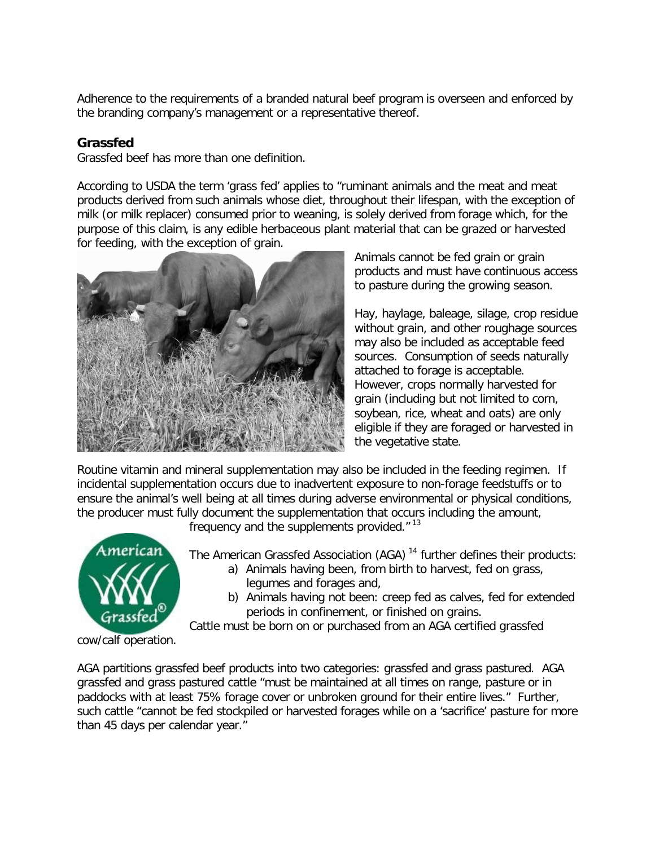Adherence to the requirements of a branded natural beef program is overseen and enforced by the branding company's management or a representative thereof.

## **Grassfed**

Grassfed beef has more than one definition.

According to USDA the term 'grass fed' applies to "ruminant animals and the meat and meat products derived from such animals whose diet, throughout their lifespan, with the exception of milk (or milk replacer) consumed prior to weaning, is solely derived from forage which, for the purpose of this claim, is any edible herbaceous plant material that can be grazed or harvested for feeding, with the exception of grain.



Animals cannot be fed grain or grain products and must have continuous access to pasture during the growing season.

Hay, haylage, baleage, silage, crop residue without grain, and other roughage sources may also be included as acceptable feed sources. Consumption of seeds naturally attached to forage is acceptable. However, crops normally harvested for grain (including but not limited to corn, soybean, rice, wheat and oats) are only eligible if they are foraged or harvested in the vegetative state.

Routine vitamin and mineral supplementation may also be included in the feeding regimen. If incidental supplementation occurs due to inadvertent exposure to non-forage feedstuffs or to ensure the animal's well being at all times during adverse environmental or physical conditions, the producer must fully document the supplementation that occurs including the amount,

frequency and the supplements provided. $"$ <sup>13</sup>



The American Grassfed Association (AGA)<sup>14</sup> further defines their products:

- a) Animals having been, from birth to harvest, fed on grass, legumes and forages and,
- b) Animals having not been: creep fed as calves, fed for extended periods in confinement, or finished on grains.

Cattle must be born on or purchased from an AGA certified grassfed

cow/calf operation.

AGA partitions grassfed beef products into two categories: grassfed and grass pastured. AGA grassfed and grass pastured cattle "must be maintained at all times on range, pasture or in paddocks with at least 75% forage cover or unbroken ground for their entire lives." Further, such cattle "cannot be fed stockpiled or harvested forages while on a 'sacrifice' pasture for more than 45 days per calendar year."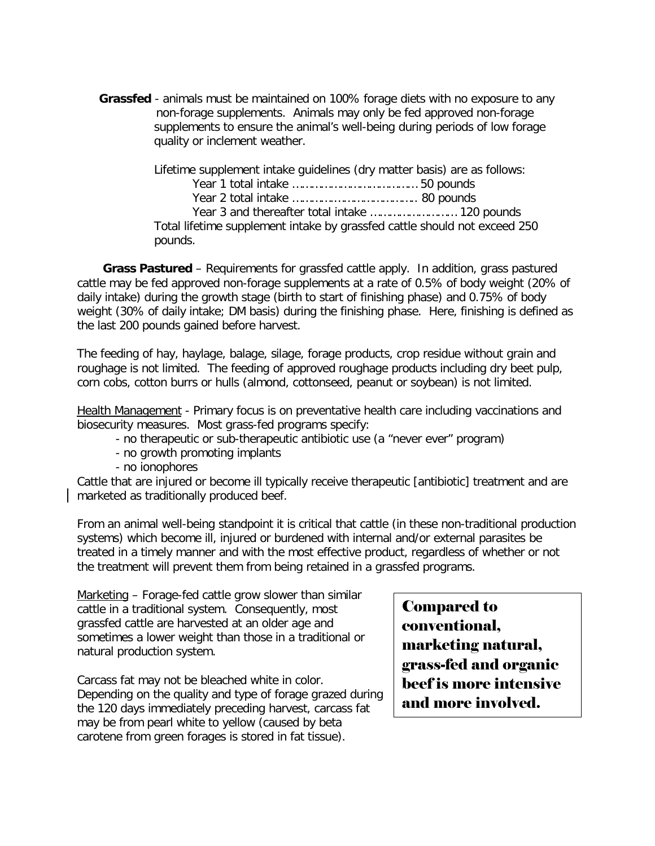**Grassfed** - animals must be maintained on 100% forage diets with no exposure to any non-forage supplements. Animals may only be fed approved non-forage supplements to ensure the animal's well-being during periods of low forage quality or inclement weather.

> Lifetime supplement intake guidelines (dry matter basis) are as follows: Year 1 total intake ………………………………… 50 pounds Year 2 total intake ………….…………………….. 80 pounds Year 3 and thereafter total intake ……………………… 120 pounds Total lifetime supplement intake by grassfed cattle should not exceed 250 pounds.

 **Grass Pastured** – Requirements for grassfed cattle apply. In addition, grass pastured cattle may be fed approved non-forage supplements at a rate of 0.5% of body weight (20% of daily intake) during the growth stage (birth to start of finishing phase) and 0.75% of body weight (30% of daily intake; DM basis) during the finishing phase. Here, finishing is defined as the last 200 pounds gained before harvest.

The feeding of hay, haylage, balage, silage, forage products, crop residue without grain and roughage is not limited. The feeding of approved roughage products including dry beet pulp, corn cobs, cotton burrs or hulls (almond, cottonseed, peanut or soybean) is not limited.

Health Management - Primary focus is on preventative health care including vaccinations and biosecurity measures. Most grass-fed programs specify:

- no therapeutic or sub-therapeutic antibiotic use (a "never ever" program)
- no growth promoting implants
- no ionophores

Cattle that are injured or become ill typically receive therapeutic [antibiotic] treatment and are marketed as traditionally produced beef.

From an animal well-being standpoint it is critical that cattle (in these non-traditional production systems) which become ill, injured or burdened with internal and/or external parasites be treated in a timely manner and with the most effective product, regardless of whether or not the treatment will prevent them from being retained in a grassfed programs.

Marketing – Forage-fed cattle grow slower than similar cattle in a traditional system. Consequently, most grassfed cattle are harvested at an older age and sometimes a lower weight than those in a traditional or natural production system.

Carcass fat may not be bleached white in color. Depending on the quality and type of forage grazed during the 120 days immediately preceding harvest, carcass fat may be from pearl white to yellow (caused by beta carotene from green forages is stored in fat tissue).

Compared to conventional, marketing natural, grass-fed and organic beef is more intensive and more involved.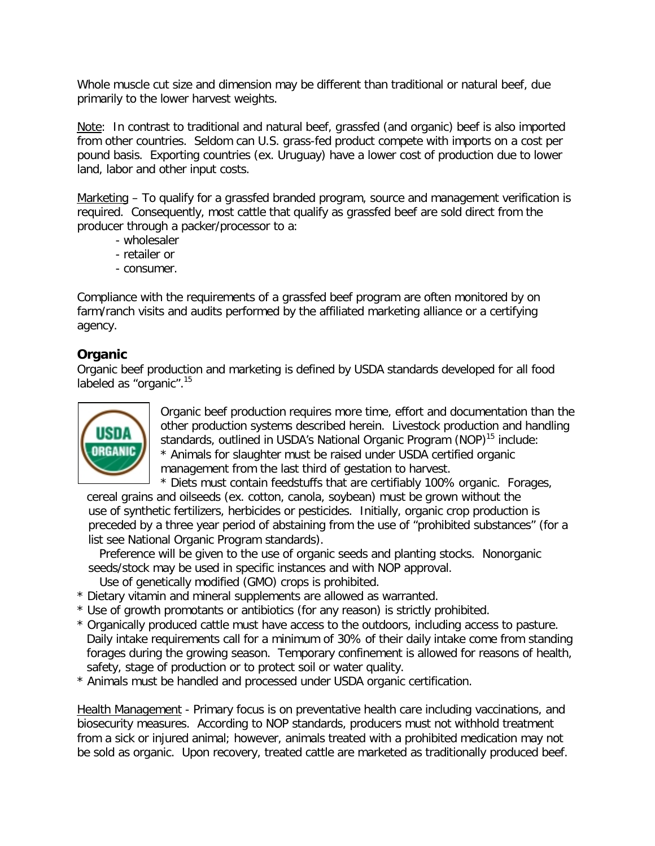Whole muscle cut size and dimension may be different than traditional or natural beef, due primarily to the lower harvest weights.

Note: In contrast to traditional and natural beef, grassfed (and organic) beef is also imported from other countries. Seldom can U.S. grass-fed product compete with imports on a cost per pound basis. Exporting countries (ex. Uruguay) have a lower cost of production due to lower land, labor and other input costs.

Marketing – To qualify for a grassfed branded program, source and management verification is required. Consequently, most cattle that qualify as grassfed beef are sold direct from the producer through a packer/processor to a:

- wholesaler
- retailer or
- consumer.

Compliance with the requirements of a grassfed beef program are often monitored by on farm/ranch visits and audits performed by the affiliated marketing alliance or a certifying agency.

#### **Organic**

Organic beef production and marketing is defined by USDA standards developed for all food labeled as "organic".<sup>15</sup>



Organic beef production requires more time, effort and documentation than the other production systems described herein. Livestock production and handling standards, outlined in USDA's National Organic Program (NOP)<sup>15</sup> include: \* Animals for slaughter must be raised under USDA certified organic management from the last third of gestation to harvest.

\* Diets must contain feedstuffs that are certifiably 100% organic. Forages,

cereal grains and oilseeds (ex. cotton, canola, soybean) must be grown without the use of synthetic fertilizers, herbicides or pesticides. Initially, organic crop production is preceded by a three year period of abstaining from the use of "prohibited substances" (for a list see National Organic Program standards).

 Preference will be given to the use of organic seeds and planting stocks. Nonorganic seeds/stock may be used in specific instances and with NOP approval.

Use of genetically modified (GMO) crops is prohibited.

- \* Dietary vitamin and mineral supplements are allowed as warranted.
- \* Use of growth promotants or antibiotics (for any reason) is strictly prohibited.
- \* Organically produced cattle must have access to the outdoors, including access to pasture. Daily intake requirements call for a minimum of 30% of their daily intake come from standing forages during the growing season. Temporary confinement is allowed for reasons of health, safety, stage of production or to protect soil or water quality.
- \* Animals must be handled and processed under USDA organic certification.

Health Management - Primary focus is on preventative health care including vaccinations, and biosecurity measures. According to NOP standards, producers must not withhold treatment from a sick or injured animal; however, animals treated with a prohibited medication may not be sold as organic. Upon recovery, treated cattle are marketed as traditionally produced beef.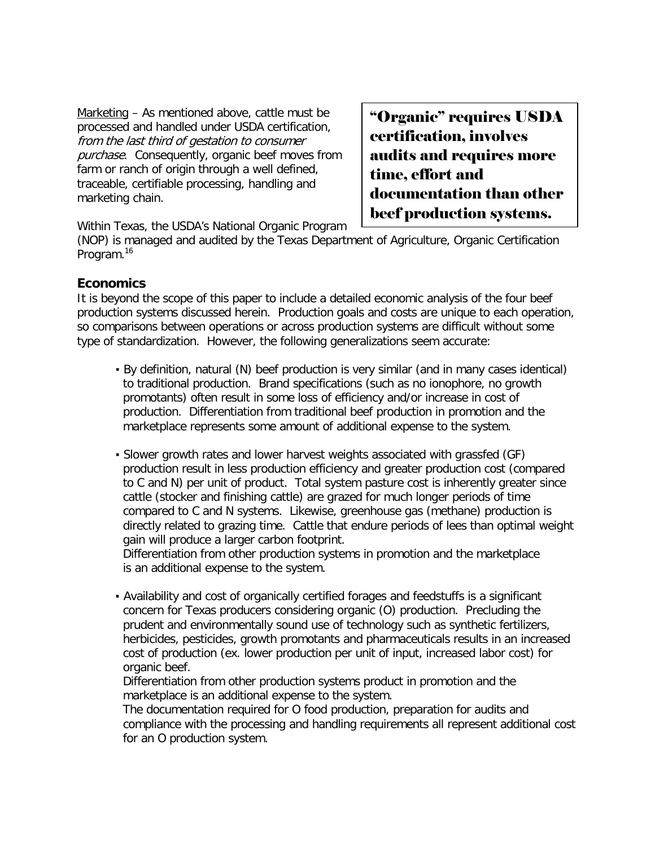Marketing – As mentioned above, cattle must be processed and handled under USDA certification, from the last third of gestation to consumer purchase. Consequently, organic beef moves from farm or ranch of origin through a well defined, traceable, certifiable processing, handling and marketing chain.

"Organic" requires USDA certification, involves audits and requires more time, effort and documentation than other beef production systems.

Within Texas, the USDA's National Organic Program

(NOP) is managed and audited by the Texas Department of Agriculture, Organic Certification Program.<sup>16</sup>

### **Economics**

It is beyond the scope of this paper to include a detailed economic analysis of the four beef production systems discussed herein. Production goals and costs are unique to each operation, so comparisons between operations or across production systems are difficult without some type of standardization. However, the following generalizations seem accurate:

- By definition, natural (N) beef production is very similar (and in many cases identical) to traditional production. Brand specifications (such as no ionophore, no growth promotants) often result in some loss of efficiency and/or increase in cost of production. Differentiation from traditional beef production in promotion and the marketplace represents some amount of additional expense to the system.
- Slower growth rates and lower harvest weights associated with grassfed (GF) production result in less production efficiency and greater production cost (compared to C and N) per unit of product. Total system pasture cost is inherently greater since cattle (stocker and finishing cattle) are grazed for much longer periods of time compared to C and N systems. Likewise, greenhouse gas (methane) production is directly related to grazing time. Cattle that endure periods of lees than optimal weight gain will produce a larger carbon footprint.

 Differentiation from other production systems in promotion and the marketplace is an additional expense to the system.

▪ Availability and cost of organically certified forages and feedstuffs is a significant concern for Texas producers considering organic (O) production. Precluding the prudent and environmentally sound use of technology such as synthetic fertilizers, herbicides, pesticides, growth promotants and pharmaceuticals results in an increased cost of production (ex. lower production per unit of input, increased labor cost) for organic beef.

 Differentiation from other production systems product in promotion and the marketplace is an additional expense to the system.

 The documentation required for O food production, preparation for audits and compliance with the processing and handling requirements all represent additional cost for an O production system.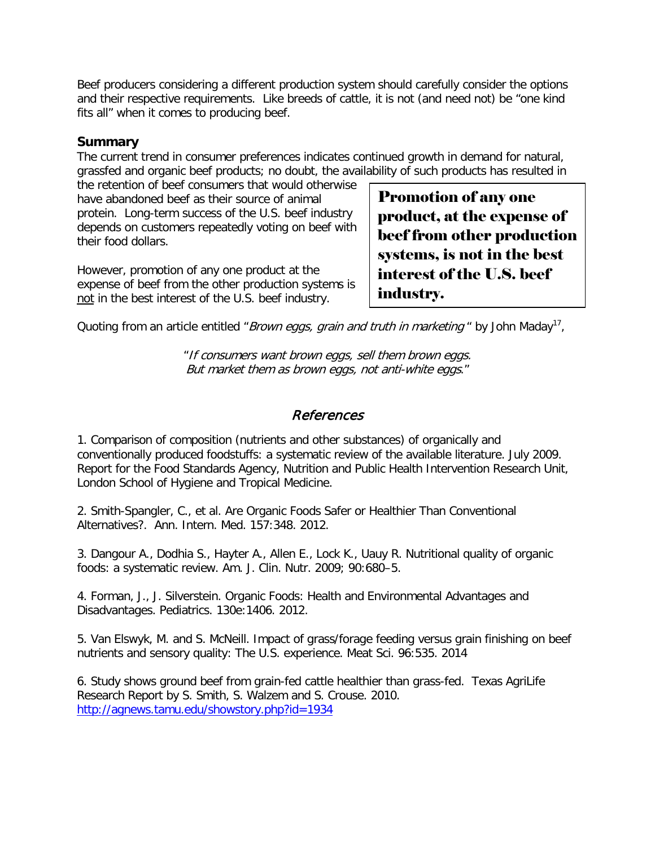Beef producers considering a different production system should carefully consider the options and their respective requirements. Like breeds of cattle, it is not (and need not) be "one kind fits all" when it comes to producing beef.

#### **Summary**

The current trend in consumer preferences indicates continued growth in demand for natural, grassfed and organic beef products; no doubt, the availability of such products has resulted in

the retention of beef consumers that would otherwise have abandoned beef as their source of animal protein. Long-term success of the U.S. beef industry depends on customers repeatedly voting on beef with their food dollars.

However, promotion of any one product at the expense of beef from the other production systems is not in the best interest of the U.S. beef industry.

Promotion of any one product, at the expense of beef from other production systems, is not in the best interest of the U.S. beef industry.

Quoting from an article entitled "*Brown eggs, grain and truth in marketing* " by John Maday<sup>17</sup>,

"If consumers want brown eggs, sell them brown eggs. But market them as brown eggs, not anti-white eggs."

# References

1. Comparison of composition (nutrients and other substances) of organically and conventionally produced foodstuffs: a systematic review of the available literature. July 2009. Report for the Food Standards Agency, Nutrition and Public Health Intervention Research Unit, London School of Hygiene and Tropical Medicine.

2. Smith-Spangler, C., et al. Are Organic Foods Safer or Healthier Than Conventional Alternatives?. Ann. Intern. Med. 157:348. 2012.

3. Dangour A., Dodhia S., Hayter A., Allen E., Lock K., Uauy R. Nutritional quality of organic foods: a systematic review. Am. J. Clin. Nutr. 2009; 90:680–5.

4. Forman, J., J. Silverstein. Organic Foods: Health and Environmental Advantages and Disadvantages. Pediatrics. 130e:1406. 2012.

5. Van Elswyk, M. and S. McNeill. Impact of grass/forage feeding versus grain finishing on beef nutrients and sensory quality: The U.S. experience. Meat Sci. 96:535. 2014

6. Study shows ground beef from grain-fed cattle healthier than grass-fed. Texas AgriLife Research Report by S. Smith, S. Walzem and S. Crouse. 2010. <http://agnews.tamu.edu/showstory.php?id=1934>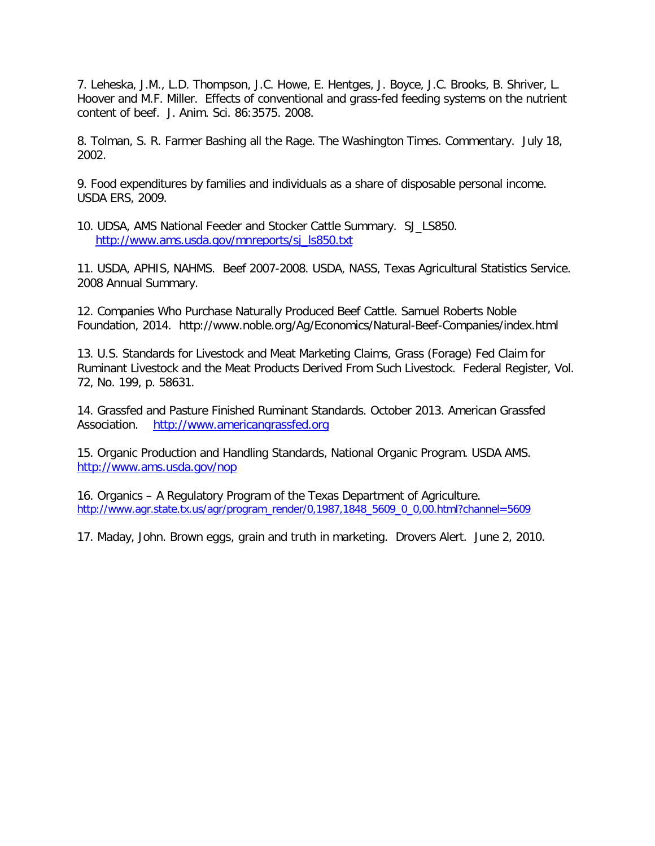7. Leheska, J.M., L.D. Thompson, J.C. Howe, E. Hentges, J. Boyce, J.C. Brooks, B. Shriver, L. Hoover and M.F. Miller. Effects of conventional and grass-fed feeding systems on the nutrient content of beef. J. Anim. Sci. 86:3575. 2008.

8. Tolman, S. R. Farmer Bashing all the Rage. The Washington Times. Commentary. July 18, 2002.

9. Food expenditures by families and individuals as a share of disposable personal income. USDA ERS, 2009.

10. UDSA, AMS National Feeder and Stocker Cattle Summary. SJ\_LS850. [http://www.ams.usda.gov/mnreports/sj\\_ls850.txt](http://www.ams.usda.gov/mnreports/sj_ls850.txt)

11. USDA, APHIS, NAHMS. Beef 2007-2008. USDA, NASS, Texas Agricultural Statistics Service. 2008 Annual Summary.

12. Companies Who Purchase Naturally Produced Beef Cattle. Samuel Roberts Noble Foundation, 2014. http://www.noble.org/Ag/Economics/Natural-Beef-Companies/index.html

13. U.S. Standards for Livestock and Meat Marketing Claims, Grass (Forage) Fed Claim for Ruminant Livestock and the Meat Products Derived From Such Livestock. Federal Register, Vol. 72, No. 199, p. 58631.

14. Grassfed and Pasture Finished Ruminant Standards. October 2013. American Grassfed Association. [http://www.americangrassfed.org](http://www.americangrassfed.org/)

15. Organic Production and Handling Standards, National Organic Program. USDA AMS. <http://www.ams.usda.gov/nop>

16. Organics – A Regulatory Program of the Texas Department of Agriculture. [http://www.agr.state.tx.us/agr/program\\_render/0,1987,1848\\_5609\\_0\\_0,00.html?channel=5609](http://www.agr.state.tx.us/agr/program_render/0,1987,1848_5609_0_0,00.html?channel=5609)

17. Maday, John. Brown eggs, grain and truth in marketing. Drovers Alert. June 2, 2010.